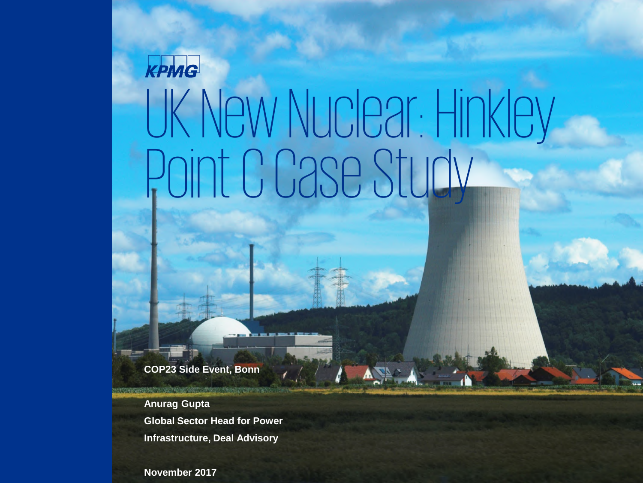# UK New Nuclear: Hinkley Point C Case Study

**COP23 Side Event, Bonn**

**Anurag Gupta Global Sector Head for Power Infrastructure, Deal Advisory**

THE R. P. LEWIS CO., LANSING MICH.

**November 2017**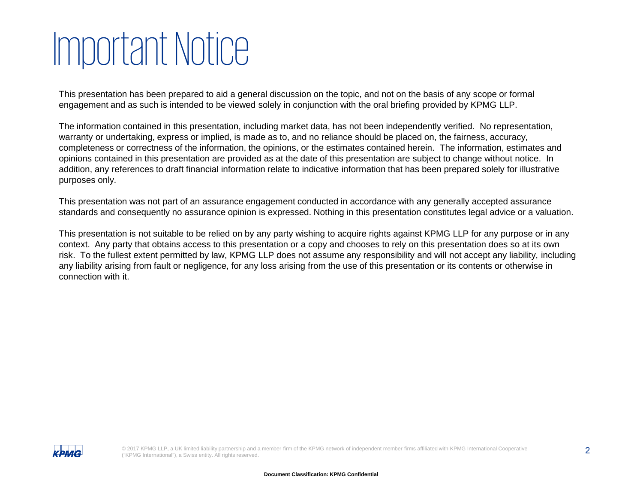# Important Notice

This presentation has been prepared to aid a general discussion on the topic, and not on the basis of any scope or formal engagement and as such is intended to be viewed solely in conjunction with the oral briefing provided by KPMG LLP.

The information contained in this presentation, including market data, has not been independently verified. No representation, warranty or undertaking, express or implied, is made as to, and no reliance should be placed on, the fairness, accuracy, completeness or correctness of the information, the opinions, or the estimates contained herein. The information, estimates and opinions contained in this presentation are provided as at the date of this presentation are subject to change without notice. In addition, any references to draft financial information relate to indicative information that has been prepared solely for illustrative purposes only.

This presentation was not part of an assurance engagement conducted in accordance with any generally accepted assurance standards and consequently no assurance opinion is expressed. Nothing in this presentation constitutes legal advice or a valuation.

This presentation is not suitable to be relied on by any party wishing to acquire rights against KPMG LLP for any purpose or in any context. Any party that obtains access to this presentation or a copy and chooses to rely on this presentation does so at its own risk. To the fullest extent permitted by law, KPMG LLP does not assume any responsibility and will not accept any liability, including any liability arising from fault or negligence, for any loss arising from the use of this presentation or its contents or otherwise in connection with it.

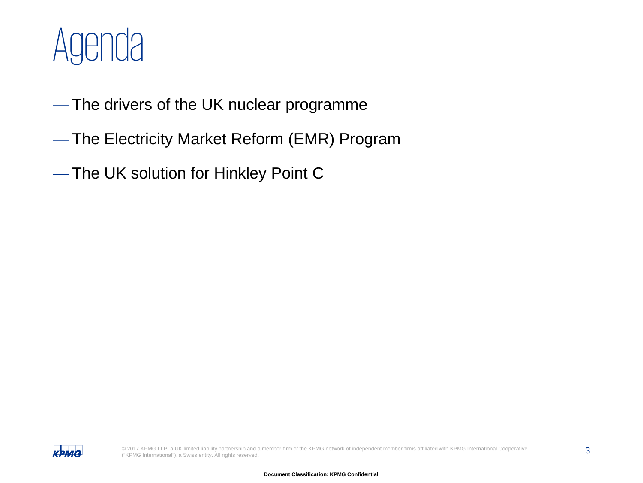

- The drivers of the UK nuclear programme
- The Electricity Market Reform (EMR) Program
- The UK solution for Hinkley Point C

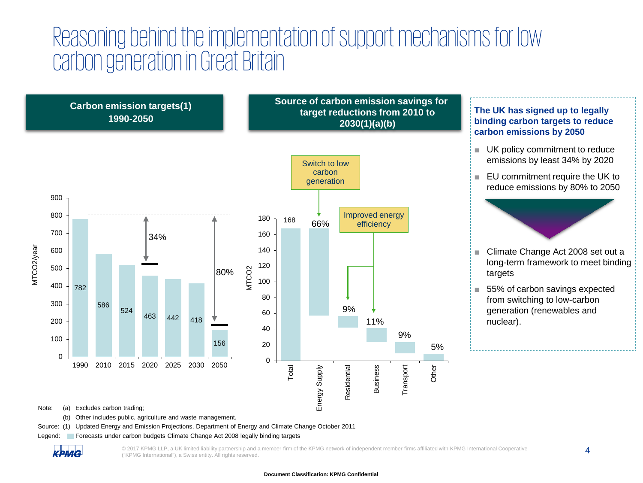### Reasoning behind the implementation of support mechanisms for low carbon generation in Great Britain



Note: (a) Excludes carbon trading;

(b) Other includes public, agriculture and waste management.

Source: (1) Updated Energy and Emission Projections, Department of Energy and Climate Change October 2011

Legend: Forecasts under carbon budgets Climate Change Act 2008 legally binding targets

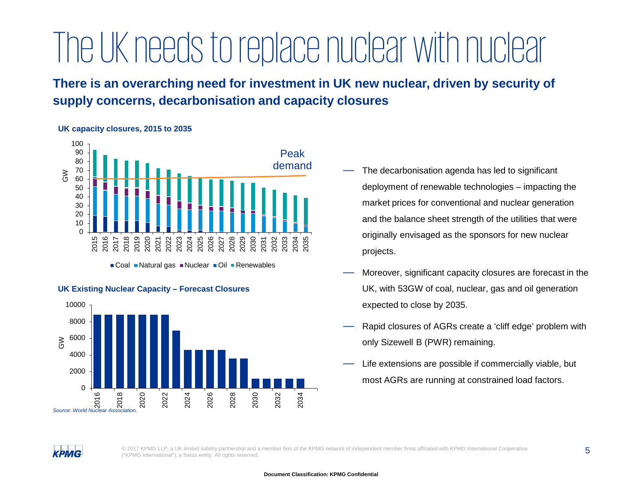## The UK needs to replace nuclear with nuclear

**There is an overarching need for investment in UK new nuclear, driven by security of supply concerns, decarbonisation and capacity closures**

#### **UK capacity closures, 2015 to 2035**



■ Coal ■ Natural gas ■ Nuclear ■ Oil ■ Renewables





- The decarbonisation agenda has led to significant deployment of renewable technologies – impacting the market prices for conventional and nuclear generation and the balance sheet strength of the utilities that were originally envisaged as the sponsors for new nuclear projects.
- Moreover, significant capacity closures are forecast in the UK, with 53GW of coal, nuclear, gas and oil generation expected to close by 2035.
- Rapid closures of AGRs create a 'cliff edge' problem with only Sizewell B (PWR) remaining.
- Life extensions are possible if commercially viable, but most AGRs are running at constrained load factors.

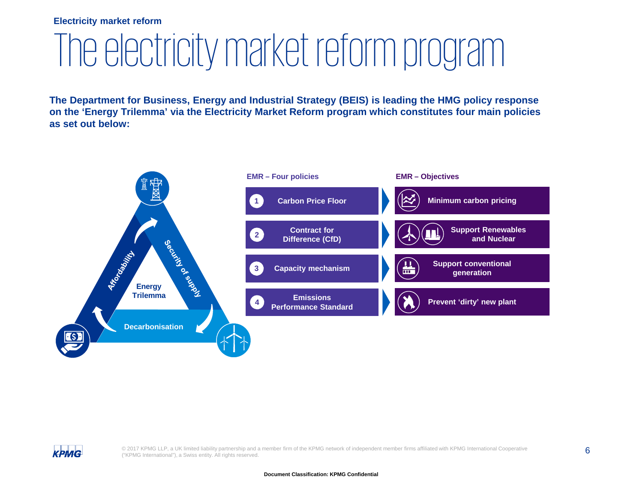### **Electricity market reform**

# The electricity market reform program

**The Department for Business, Energy and Industrial Strategy (BEIS) is leading the HMG policy response on the 'Energy Trilemma' via the Electricity Market Reform program which constitutes four main policies as set out below:**



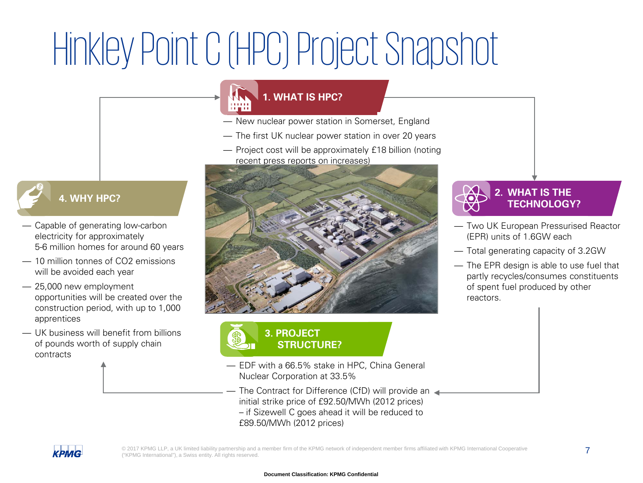# Hinkley Point C (HPC) Project Snapshot

### **1. WHAT IS HPC?**

- New nuclear power station in Somerset, England
- The first UK nuclear power station in over 20 years
- Project cost will be approximately £18 billion (noting recent press reports on increases)



- Capable of generating low-carbon electricity for approximately 5-6 million homes for around 60 years
- 10 million tonnes of CO2 emissions will be avoided each year
- 25,000 new employment opportunities will be created over the construction period, with up to 1,000 apprentices
- UK business will benefit from billions of pounds worth of supply chain contracts



### **3. PROJECT STRUCTURE?**

- EDF with a 66.5% stake in HPC, China General Nuclear Corporation at 33.5%
- The Contract for Difference (CfD) will provide an initial strike price of £92.50/MWh (2012 prices) – if Sizewell C goes ahead it will be reduced to
	- £89.50/MWh (2012 prices)



- Two UK European Pressurised Reactor (EPR) units of 1.6GW each
- Total generating capacity of 3.2GW
- The EPR design is able to use fuel that partly recycles/consumes constituents of spent fuel produced by other reactors.

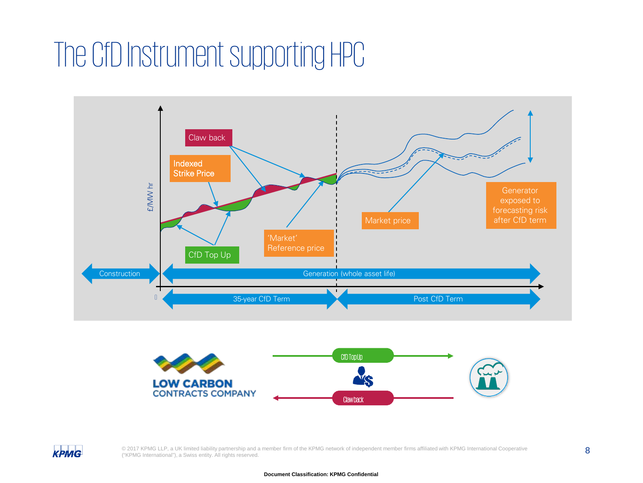### The CfD Instrument supporting HPC





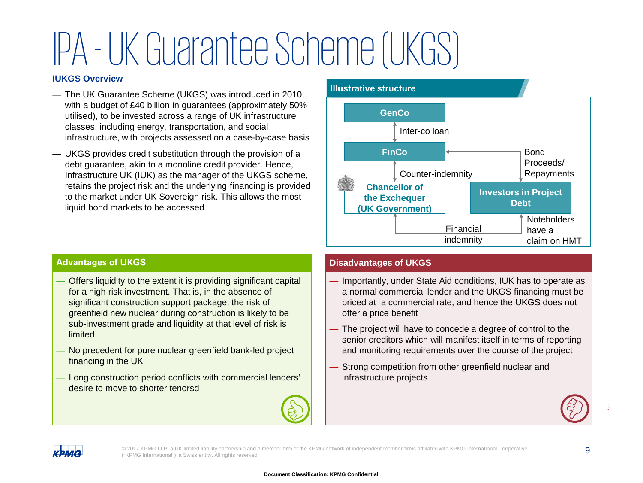# IPA -UK Guarantee Scheme (UKGS)

#### **IUKGS Overview**

- The UK Guarantee Scheme (UKGS) was introduced in 2010, with a budget of £40 billion in guarantees (approximately 50% utilised), to be invested across a range of UK infrastructure classes, including energy, transportation, and social infrastructure, with projects assessed on a case-by-case basis
- UKGS provides credit substitution through the provision of a debt guarantee, akin to a monoline credit provider. Hence, Infrastructure UK (IUK) as the manager of the UKGS scheme, retains the project risk and the underlying financing is provided to the market under UK Sovereign risk. This allows the most liquid bond markets to be accessed



### **Advantages of UKGS**

- Offers liquidity to the extent it is providing significant capital for a high risk investment. That is, in the absence of significant construction support package, the risk of greenfield new nuclear during construction is likely to be sub-investment grade and liquidity at that level of risk is limited
- No precedent for pure nuclear greenfield bank-led project financing in the UK
- Long construction period conflicts with commercial lenders' desire to move to shorter tenorsd



### **Disadvantages of UKGS**

- Importantly, under State Aid conditions, IUK has to operate as a normal commercial lender and the UKGS financing must be priced at a commercial rate, and hence the UKGS does not offer a price benefit
- The project will have to concede a degree of control to the senior creditors which will manifest itself in terms of reporting and monitoring requirements over the course of the project
- Strong competition from other greenfield nuclear and infrastructure projects



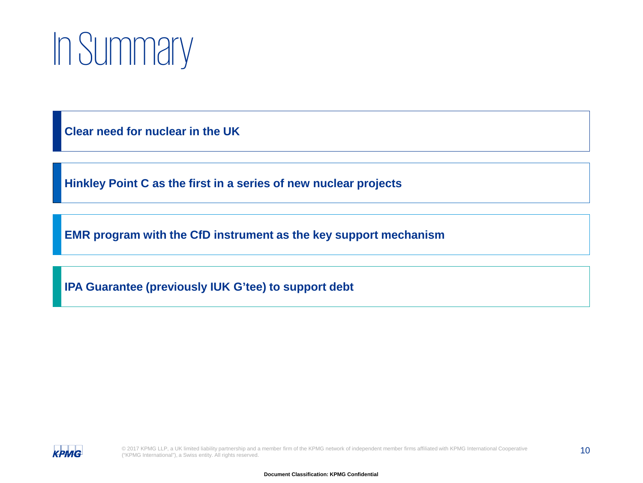# In Summary

**Clear need for nuclear in the UK**

**Hinkley Point C as the first in a series of new nuclear projects**

**EMR program with the CfD instrument as the key support mechanism**

**IPA Guarantee (previously IUK G'tee) to support debt**